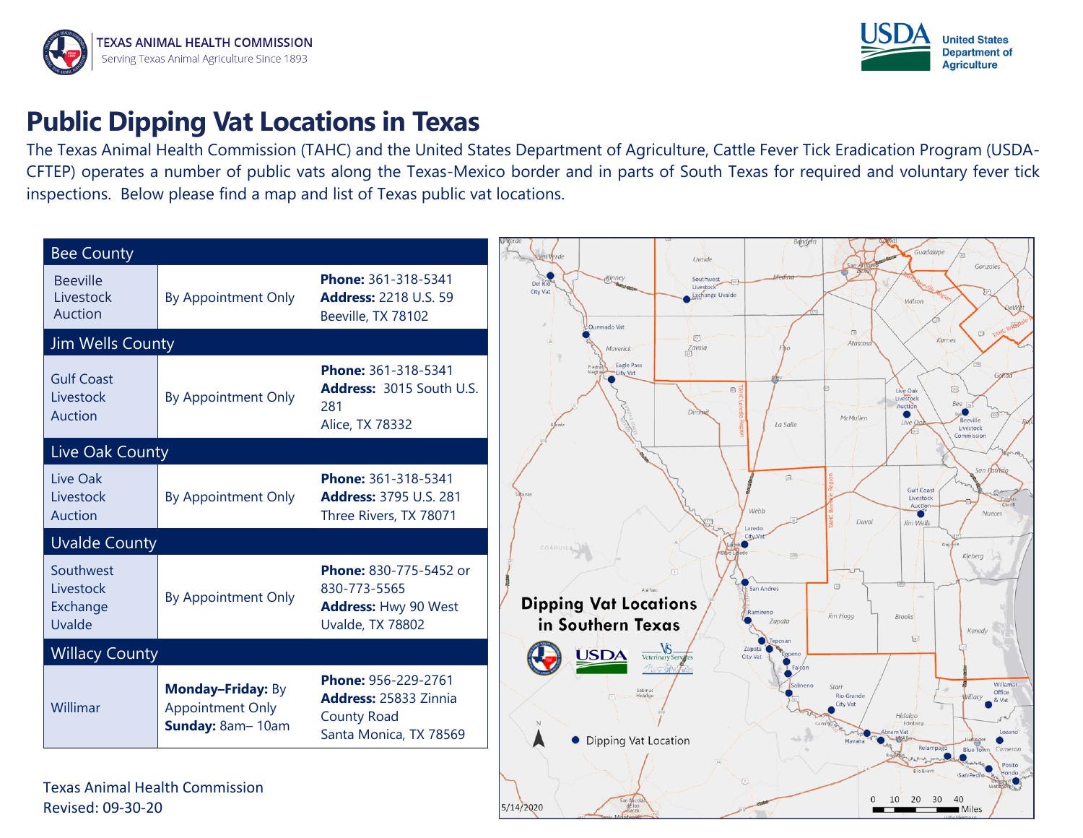



## **Public Dipping Vat Locations in Texas**

The Texas Animal Health Commission (TAHC) and the United States Department of Agriculture, Cattle Fever Tick Eradication Program (USDA-CFTEP) operates a number of public vats along the Texas-Mexico border and in parts of South Texas for required and voluntary fever tick inspections. Below please find a map and list of Texas public vat locations.



5/14/2020

Revised: 09-30-20